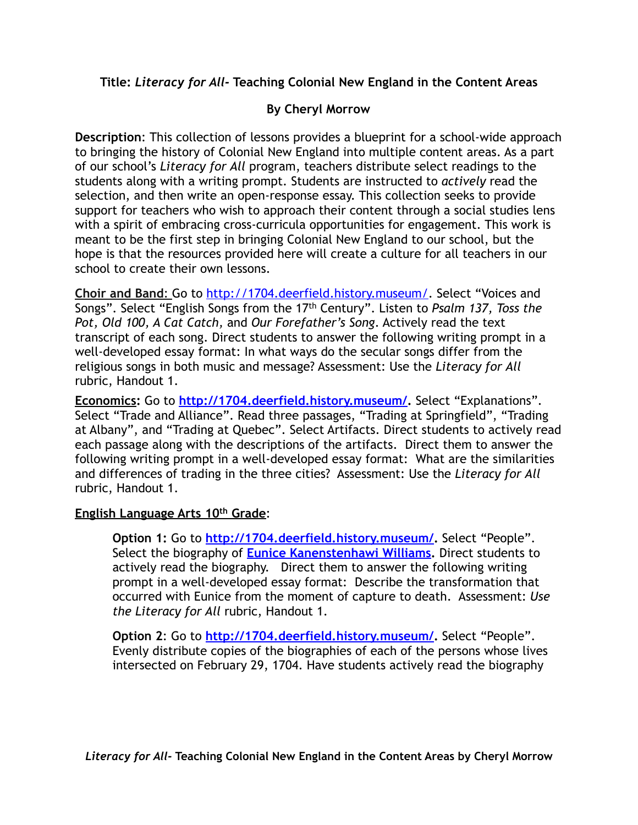**Title:** *Literacy for All-* **Teaching Colonial New England in the Content Areas** 

# **By Cheryl Morrow**

**Description**: This collection of lessons provides a blueprint for a school-wide approach to bringing the history of Colonial New England into multiple content areas. As a part of our school's *Literacy for All* program, teachers distribute select readings to the students along with a writing prompt. Students are instructed to *actively* read the selection, and then write an open-response essay. This collection seeks to provide support for teachers who wish to approach their content through a social studies lens with a spirit of embracing cross-curricula opportunities for engagement. This work is meant to be the first step in bringing Colonial New England to our school, but the hope is that the resources provided here will create a culture for all teachers in our school to create their own lessons.

**Choir and Band**: Go to<http://1704.deerfield.history.museum/>. Select "Voices and Songs". Select "English Songs from the 17th Century". Listen to *Psalm 137, Toss the Pot, Old 100, A Cat Catch,* and *Our Forefather's Song*. Actively read the text transcript of each song. Direct students to answer the following writing prompt in a well-developed essay format: In what ways do the secular songs differ from the religious songs in both music and message? Assessment: Use the *Literacy for All* rubric, Handout 1.

**Economics:** Go to **<http://1704.deerfield.history.museum/>.** Select "Explanations". Select "Trade and Alliance". Read three passages, "Trading at Springfield", "Trading at Albany", and "Trading at Quebec". Select Artifacts. Direct students to actively read each passage along with the descriptions of the artifacts. Direct them to answer the following writing prompt in a well-developed essay format: What are the similarities and differences of trading in the three cities? Assessment: Use the *Literacy for All* rubric, Handout 1.

### **English Language Arts 10th Grade**:

**Option 1:** Go to **<http://1704.deerfield.history.museum/>.** Select "People". Select the biography of **[Eunice Kanenstenhawi Williams.](http://1704.deerfield.history.museum/popups/people.do?shortName=EuniceKWilliams)** Direct students to actively read the biography. Direct them to answer the following writing prompt in a well-developed essay format: Describe the transformation that occurred with Eunice from the moment of capture to death. Assessment: *Use the Literacy for All* rubric, Handout 1.

**Option 2**: Go to **<http://1704.deerfield.history.museum/>.** Select "People". Evenly distribute copies of the biographies of each of the persons whose lives intersected on February 29, 1704. Have students actively read the biography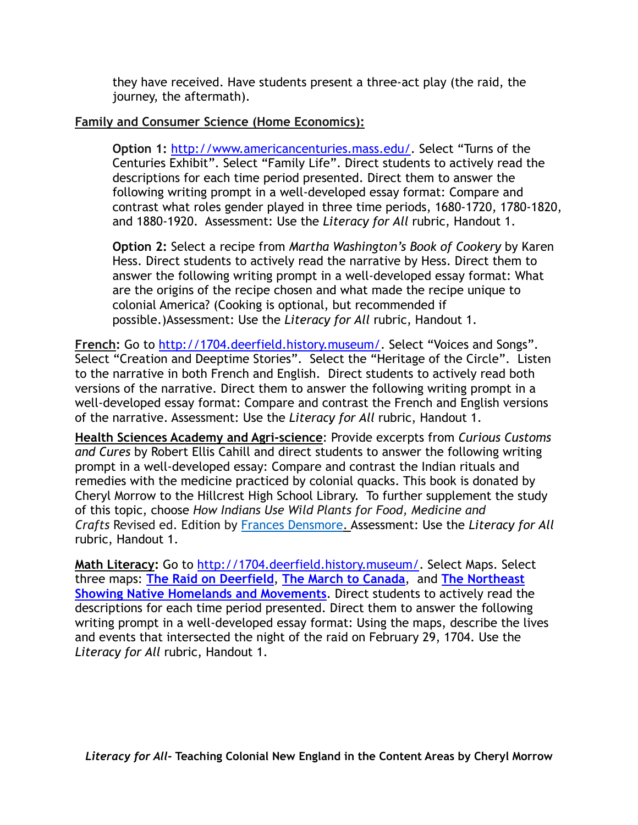they have received. Have students present a three-act play (the raid, the journey, the aftermath).

### **Family and Consumer Science (Home Economics):**

**Option 1:** <http://www.americancenturies.mass.edu/>. Select "Turns of the Centuries Exhibit". Select "Family Life". Direct students to actively read the descriptions for each time period presented. Direct them to answer the following writing prompt in a well-developed essay format: Compare and contrast what roles gender played in three time periods, 1680-1720, 1780-1820, and 1880-1920. Assessment: Use the *Literacy for All* rubric, Handout 1.

**Option 2:** Select a recipe from *Martha Washington's Book of Cookery* by Karen Hess. Direct students to actively read the narrative by Hess. Direct them to answer the following writing prompt in a well-developed essay format: What are the origins of the recipe chosen and what made the recipe unique to colonial America? (Cooking is optional, but recommended if possible.)Assessment: Use the *Literacy for All* rubric, Handout 1.

**French:** Go to<http://1704.deerfield.history.museum/>. Select "Voices and Songs". Select "Creation and Deeptime Stories". Select the "Heritage of the Circle". Listen to the narrative in both French and English. Direct students to actively read both versions of the narrative. Direct them to answer the following writing prompt in a well-developed essay format: Compare and contrast the French and English versions of the narrative. Assessment: Use the *Literacy for All* rubric, Handout 1.

**Health Sciences Academy and Agri-science**: Provide excerpts from *Curious Customs and Cures* by Robert Ellis Cahill and direct students to answer the following writing prompt in a well-developed essay: Compare and contrast the Indian rituals and remedies with the medicine practiced by colonial quacks. This book is donated by Cheryl Morrow to the Hillcrest High School Library. To further supplement the study of this topic, choose *How Indians Use Wild Plants for Food, Medicine and Crafts* Revised ed. Edition by [Frances Densmore](https://www.amazon.com/Frances-Densmore/e/B001IR1HVA/ref=dp_byline_cont_book_1). Assessment: Use the *Literacy for All* rubric, Handout 1.

**Math Literacy:** Go to<http://1704.deerfield.history.museum/>. Select Maps. Select three maps: **[The Raid on Deerfield](http://1704.deerfield.history.museum/popups/maps.do?shortName=deerfield)**, **[The March to Canada](http://1704.deerfield.history.museum/popups/maps.do?shortName=march)**, and **The Northeast [Showing Native Homelands and Movements](http://1704.deerfield.history.museum/popups/maps.do?shortName=movements)**. Direct students to actively read the descriptions for each time period presented. Direct them to answer the following writing prompt in a well-developed essay format: Using the maps, describe the lives and events that intersected the night of the raid on February 29, 1704. Use the *Literacy for All* rubric, Handout 1.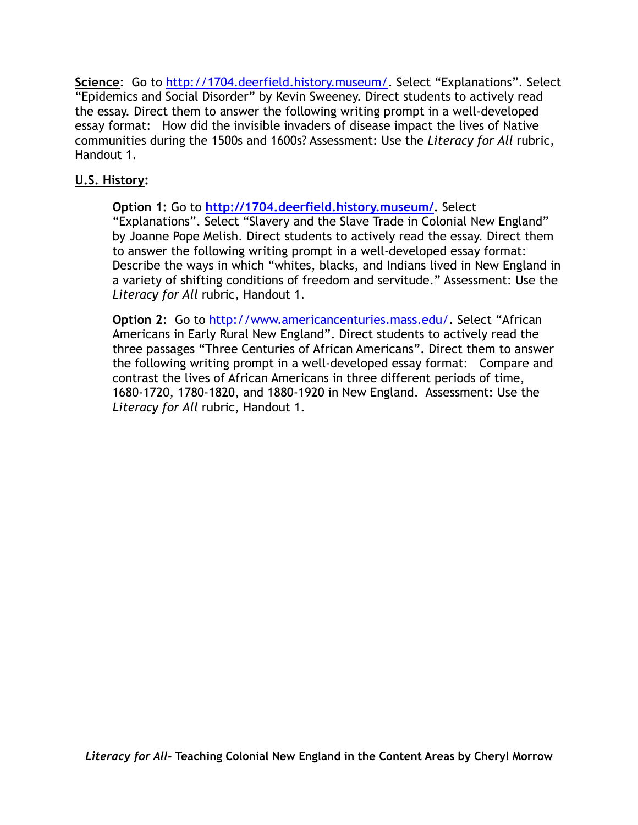Science: Go to [http://1704.deerfield.history.museum/.](http://1704.deerfield.history.museum/) Select "Explanations". Select "Epidemics and Social Disorder" by Kevin Sweeney. Direct students to actively read the essay. Direct them to answer the following writing prompt in a well-developed essay format: How did the invisible invaders of disease impact the lives of Native communities during the 1500s and 1600s? Assessment: Use the *Literacy for All* rubric, Handout 1.

## **U.S. History:**

**Option 1:** Go to **<http://1704.deerfield.history.museum/>.** Select "Explanations". Select "Slavery and the Slave Trade in Colonial New England" by Joanne Pope Melish. Direct students to actively read the essay. Direct them to answer the following writing prompt in a well-developed essay format: Describe the ways in which "whites, blacks, and Indians lived in New England in a variety of shifting conditions of freedom and servitude." Assessment: Use the *Literacy for All* rubric, Handout 1.

**Option 2**: Go to [http://www.americancenturies.mass.edu/.](http://www.americancenturies.mass.edu/) Select "African Americans in Early Rural New England". Direct students to actively read the three passages "Three Centuries of African Americans". Direct them to answer the following writing prompt in a well-developed essay format: Compare and contrast the lives of African Americans in three different periods of time, 1680-1720, 1780-1820, and 1880-1920 in New England. Assessment: Use the *Literacy for All* rubric, Handout 1.